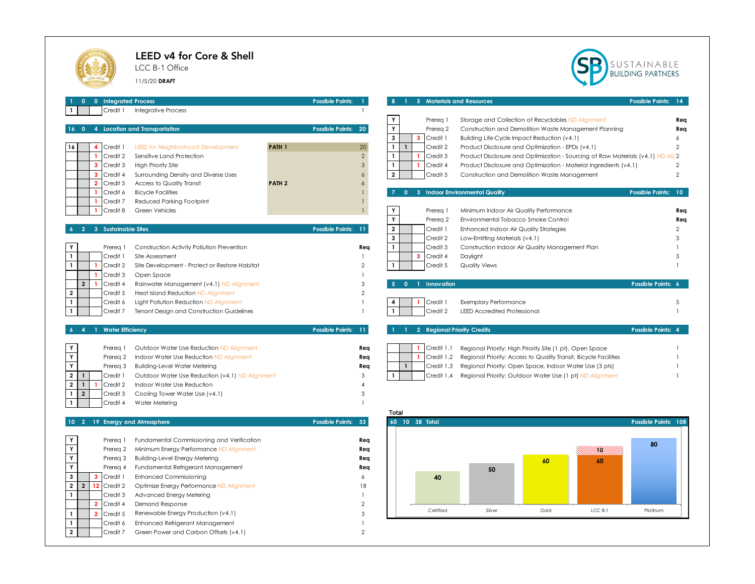## LEED v4 for Core & Shell

**2** Credit 7 2 Green Power and Carbon Offsets (v4.1)

LCC B-1 Office

11/5/20 **DRAFT**



| 0 0 Integrated Process<br>Credit 1<br><b>Integrative Process</b><br>$\mathbf{1}$                                                                                                                                                                                                                                                                                                                                                                                                                      | <b>Possible Points:</b><br>$\blacksquare$                                 | 8 <sup>1</sup><br>1 5 Materials and Resources<br><b>Possible Points:</b><br>$\sqrt{14}$                                                                                                                                                                                                                                                                                                                                                                           |
|-------------------------------------------------------------------------------------------------------------------------------------------------------------------------------------------------------------------------------------------------------------------------------------------------------------------------------------------------------------------------------------------------------------------------------------------------------------------------------------------------------|---------------------------------------------------------------------------|-------------------------------------------------------------------------------------------------------------------------------------------------------------------------------------------------------------------------------------------------------------------------------------------------------------------------------------------------------------------------------------------------------------------------------------------------------------------|
| 4 Location and Transportation<br>$16 \quad 0$                                                                                                                                                                                                                                                                                                                                                                                                                                                         | Possible Points: 20                                                       | Y<br>Prereg 1<br>Storage and Collection of Recyclables ND Alignment<br>Rea<br>Y<br>Prereg 2<br>Construction and Demolition Waste Management Planning<br>Rea<br>$\mathbf{3}$<br>$\mathbf{3}$<br>Credit 1<br>Building Life-Cycle Impact Reduction (v4.1)<br>6                                                                                                                                                                                                       |
| 16<br>4<br>Credit 1<br><b>LEED for Neighborhood Development</b><br>$\mathbf{1}$<br>Credit 2<br>Sensitive Land Protection<br>$\mathbf{3}$<br>Credit 3<br><b>High Priority Site</b><br>$\overline{\mathbf{3}}$<br>Credit 4<br>Surrounding Density and Diverse Uses<br>$\overline{2}$<br>Credit 5<br>Access to Quality Transit                                                                                                                                                                           | 20<br><b>PATH 1</b><br>$\overline{2}$<br>3<br>6<br>PATH <sub>2</sub><br>6 | $\mathbf{1}$<br>$\mathbf{1}$<br>Credit 2<br>Product Disclosure and Optimization - EPDs (v4.1)<br>2<br>$\mathbf{1}$<br>Credit 3<br>$\mathbf{1}$<br>Product Disclosure and Optimization - Sourcing of Raw Materials (v4.1) ND Alic 2<br>$\mathbf{1}$<br>$\mathbf{1}$<br>Credit 4<br>Product Disclosure and Optimization - Material Ingredients (v4.1)<br>$\overline{2}$<br>$\overline{\mathbf{2}}$<br>Credit 5<br>Construction and Demolition Waste Management<br>2 |
| $\mathbf{1}$<br>Credit 6<br><b>Bicycle Facilities</b><br>Reduced Parking Footprint<br>Credit 7<br>Credit 8<br><b>Green Vehicles</b>                                                                                                                                                                                                                                                                                                                                                                   | $\mathbf{1}$<br>$\mathbf{1}$                                              | 0 3 Indoor Environmental Quality<br>Possible Points: 10<br>$\overline{7}$<br>$\mathsf Y$<br>Minimum Indoor Air Quality Performance<br>Prereg 1<br>Req<br>Y<br>Prereg 2<br>Environmental Tobacco Smoke Control<br>Rea                                                                                                                                                                                                                                              |
| 3 Sustainable Sites<br>Y<br>Construction Activity Pollution Prevention<br>Prereg 1                                                                                                                                                                                                                                                                                                                                                                                                                    | <b>Possible Points:</b><br>11<br>Rea                                      | $\mathbf 2$<br>Credit 1<br>Enhanced Indoor Air Quality Strategies<br>$\overline{2}$<br>$\mathbf{3}$<br>Credit 2<br>Low-Emitting Materials (v4.1)<br>3<br>$\mathbf{1}$<br>Credit 3<br>Construction Indoor Air Quality Management Plan                                                                                                                                                                                                                              |
| $\mathbf{1}$<br>Credit 1<br>Site Assessment<br>$\mathbf{1}$<br>Credit 2<br>Site Development - Protect or Restore Habitat<br>Credit 3<br>Open Space<br>-1<br>$\overline{2}$<br>Credit 4<br>$\mathbf{1}$<br>Rainwater Management (v4.1) ND Alignment                                                                                                                                                                                                                                                    | 1<br>$\mathbf{2}$<br>3                                                    | 3<br>Credit 4<br>Daylight<br>Credit 5<br><b>Quality Views</b><br>5 0 1 Innovation<br>Possible Points: 6                                                                                                                                                                                                                                                                                                                                                           |
| $\mathbf{2}$<br>Credit 5<br>Heat Island Reduction ND Alignment<br>$\mathbf{1}$<br>Credit 6<br>Light Pollution Reduction ND Alignment<br>Credit 7<br>Tenant Design and Construction Guidelines                                                                                                                                                                                                                                                                                                         | $\overline{2}$<br>$\mathbf{1}$<br>$\mathbf{1}$                            | Credit 1<br><b>Exemplary Performance</b><br>4<br>5<br>Credit 2<br><b>LEED Accredited Professional</b>                                                                                                                                                                                                                                                                                                                                                             |
| 1 Water Efficiency<br>$\overline{4}$                                                                                                                                                                                                                                                                                                                                                                                                                                                                  | Possible Points: 11                                                       | 2 Regional Priority Credits<br>Possible Points: 4                                                                                                                                                                                                                                                                                                                                                                                                                 |
| Y<br>Prereg 1<br>Outdoor Water Use Reduction ND Alignment<br>Y<br>Indoor Water Use Reduction ND Alignment<br>Prereg 2<br>Y<br>Prereg 3<br><b>Building-Level Water Metering</b><br>$\overline{2}$<br>$\mathbf{1}$<br>Credit 1<br>Outdoor Water Use Reduction (v4.1) ND Alignment<br>$\overline{2}$<br>$\mathbf{1}$<br>Credit 2<br>Indoor Water Use Reduction<br>$\overline{2}$<br>Credit 3<br>Cooling Tower Water Use (v4.1)<br>$\mathbf{1}$<br>Credit 4<br>Water Metering                             | Req<br>Req<br>Req<br>3<br>$\overline{\mathbf{A}}$<br>3<br>1               | $\mathbf{1}$<br>Credit 1.1<br>Regional Priority: High Priority Site (1 pt), Open Space<br>$\mathbf{1}$<br>Credit 1.2<br>Regional Priority: Access to Quality Transit, Bicycle Facilities<br>$\mathbf{1}$<br>Credit 1.3<br>Regional Priority: Open Space, Indoor Water Use (3 pts)<br>$\mathbf{1}$<br>Credit 1.4<br>Regional Priority: Outdoor Water Use (1 pt) ND Alignment<br>Total                                                                              |
| 10 2 19 Energy and Atmosphere                                                                                                                                                                                                                                                                                                                                                                                                                                                                         | Possible Points: 33                                                       | 60 10 38 Total<br>Possible Points: 108                                                                                                                                                                                                                                                                                                                                                                                                                            |
| Y<br>Fundamental Commissioning and Verification<br>Prereg 1<br>Y<br>Prereg 2<br>Minimum Energy Performance ND Alignment<br>Y<br>Prereq 3<br><b>Building-Level Energy Metering</b><br>Y<br>Prereg 4<br>Fundamental Refrigerant Management<br>3<br>$\mathbf{3}$<br>Credit 1<br><b>Enhanced Commissioning</b><br>$\overline{2}$<br>12<br>$\overline{2}$<br>Credit 2<br>Optimize Energy Performance ND Alignment<br>Credit 3<br>Advanced Energy Metering<br>Credit 4<br>Demand Response<br>$\overline{2}$ | Req<br>Rea<br>Req<br>Req<br>6<br>18<br>$\overline{2}$                     | 80<br>H.<br>60<br>60<br>50<br>40                                                                                                                                                                                                                                                                                                                                                                                                                                  |
| $\mathbf{1}$<br>Renewable Energy Production (v4.1)<br>$\overline{2}$<br>Credit 5<br>$\mathbf{1}$<br>Credit 6<br>Enhanced Refrigerant Management                                                                                                                                                                                                                                                                                                                                                       | 3<br>$\mathbf{1}$                                                         | Certified<br>LCC B-1<br>Silver<br>Gold<br>Platinum                                                                                                                                                                                                                                                                                                                                                                                                                |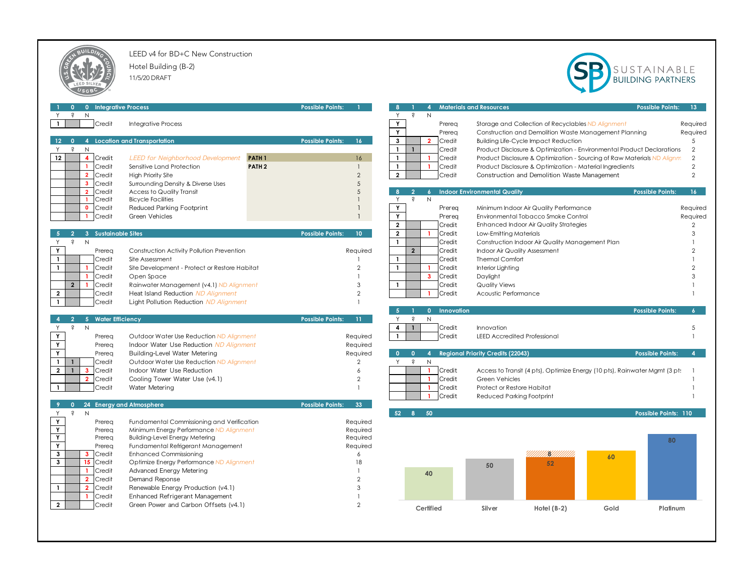

LEED v4 for BD+C New Construction

Hotel Building (B-2) 11/5/20 DRAFT



|                              | 0 Integrative Process             |                                               |                   | <b>Possible Points:</b> |                 |                | $\overline{4}$                     |              | <b>Materials and Resources</b>           |                                                                            |      | <b>Possible Points:</b> | 13 <sub>1</sub> |
|------------------------------|-----------------------------------|-----------------------------------------------|-------------------|-------------------------|-----------------|----------------|------------------------------------|--------------|------------------------------------------|----------------------------------------------------------------------------|------|-------------------------|-----------------|
| $\hat{s}$                    | N                                 |                                               |                   |                         |                 | Y.             | Ş<br>N                             |              |                                          |                                                                            |      |                         |                 |
|                              | Credit                            | <b>Integrative Process</b>                    |                   |                         |                 | Y              |                                    | Prereq       |                                          | Storage and Collection of Recyclables ND Alignment                         |      |                         | Required        |
|                              |                                   |                                               |                   |                         |                 | Y              |                                    | Prereq       |                                          | Construction and Demolition Waste Management Planning                      |      |                         | Required        |
| $12 -$                       |                                   | 0 4 Location and Transportation               |                   | <b>Possible Points:</b> | 16 <sup>2</sup> | $\mathbf{3}$   | $\overline{2}$                     | Credit       |                                          | <b>Building Life-Cycle Impact Reduction</b>                                |      |                         | $\overline{5}$  |
| $\dot{s}$<br>Y.              | N                                 |                                               |                   |                         |                 | $\mathbf{1}$   | $\mathbf{1}$                       | Credit       |                                          | Product Disclosure & Optimization - Environmental Product Declarations     |      |                         | $\overline{2}$  |
| 12 <sup>°</sup>              | 4 Credit                          | <b>LEED for Neighborhood Development</b>      | PATH <sub>1</sub> |                         | 16              | $\mathbf{1}$   |                                    | Credit       |                                          | Product Disclosure & Optimization - Sourcing of Raw Materials ND Alignm    |      |                         | $\overline{2}$  |
|                              | $\mathbf{1}$<br>Credit            | Sensitive Land Protection                     | PATH <sub>2</sub> |                         | -1              | $\mathbf{1}$   |                                    | Credit       |                                          | Product Disclosure & Optimization - Material Ingredients                   |      |                         | $\overline{2}$  |
|                              | $\overline{2}$<br>Credit          | <b>High Priority Site</b>                     |                   |                         | $\overline{2}$  | $\overline{2}$ |                                    | Credit       |                                          | Construction and Demolition Waste Management                               |      |                         | $\overline{2}$  |
|                              | $\overline{\mathbf{3}}$<br>Credit | Surrounding Density & Diverse Uses            |                   |                         | 5               |                |                                    |              |                                          |                                                                            |      |                         |                 |
|                              | Credit<br>$\overline{2}$          | Access to Quality Transit                     |                   |                         | 5               | -8             | -2<br>$\epsilon$                   |              | <b>Indoor Environmental Quality</b>      |                                                                            |      | <b>Possible Points:</b> | $16-1$          |
|                              | Credit<br>$\overline{1}$          | <b>Bicycle Facilities</b>                     |                   |                         |                 | Y              | $\hat{\mathsf{S}}$<br>$\mathsf{N}$ |              |                                          |                                                                            |      |                         |                 |
|                              | $\bullet$<br>Credit               | Reduced Parking Footprint                     |                   |                         | 1               | Y              |                                    | Prereg       |                                          | Minimum Indoor Air Quality Performance                                     |      |                         | Required        |
|                              | Credit<br>$\mathbf{1}$            | Green Vehicles                                |                   |                         | $\mathbf{1}$    | Y              |                                    | Prereg       |                                          | Environmental Tobacco Smoke Control                                        |      |                         | Required        |
|                              |                                   |                                               |                   |                         |                 | $\overline{2}$ |                                    | Credit       |                                          | Enhanced Indoor Air Quality Strategies                                     |      |                         | $\overline{2}$  |
|                              | 3 Sustainable Sites               |                                               |                   | <b>Possible Points:</b> | $10-1$          | $\mathbf{2}$   | $\mathbf{1}$                       | Credit       | Low-Emitting Materials                   |                                                                            |      |                         | 3               |
| Ŝ.<br>Y                      | N                                 |                                               |                   |                         |                 | $\mathbf{1}$   |                                    | Credit       |                                          | Construction Indoor Air Quality Management Plan                            |      |                         |                 |
| Y                            | Prereg                            | Construction Activity Pollution Prevention    |                   |                         | Required        |                | $\overline{2}$                     | Credit       | Indoor Air Quality Assessment            |                                                                            |      |                         |                 |
| $\mathbf{1}$                 | Credit                            | Site Assessment                               |                   |                         |                 | $\mathbf{1}$   |                                    | Credit       | <b>Thermal Comfort</b>                   |                                                                            |      |                         |                 |
| $\mathbf{1}$                 | Credit<br>$\overline{1}$          | Site Development - Protect or Restore Habitat |                   |                         | $\overline{2}$  | $\mathbf{1}$   |                                    | Credit       | Interior Lighting                        |                                                                            |      |                         |                 |
|                              | Credit<br>-1                      | Open Space                                    |                   |                         |                 |                | $\overline{\mathbf{3}}$            | Credit       | Daylight                                 |                                                                            |      |                         |                 |
| $\overline{2}$               | Credit<br>-1                      | Rainwater Management (v4.1) ND Alignment      |                   |                         | 3               | $\mathbf{1}$   |                                    | Credit       | <b>Quality Views</b>                     |                                                                            |      |                         |                 |
| $\mathbf{2}$                 | Credit                            | Heat Island Reduction ND Alignment            |                   |                         | $\overline{2}$  |                |                                    | Credit       | Acoustic Performance                     |                                                                            |      |                         |                 |
|                              | Credit                            | Light Pollution Reduction ND Alignment        |                   |                         |                 |                |                                    |              |                                          |                                                                            |      |                         |                 |
|                              |                                   |                                               |                   |                         |                 |                |                                    | 0 Innovation |                                          |                                                                            |      | <b>Possible Points:</b> |                 |
| $\overline{2}$               | 5 Water Efficiency                |                                               |                   | <b>Possible Points:</b> | 11 <sup>2</sup> |                | ŝ<br>$\mathsf{N}$                  |              |                                          |                                                                            |      |                         |                 |
| $\hat{\mathbf{S}}$<br>Y      | N                                 |                                               |                   |                         |                 | $\overline{4}$ | $\mathbf{1}$                       | Credit       | Innovation                               |                                                                            |      |                         | 5               |
| Y                            | Prereq                            | Outdoor Water Use Reduction ND Alignment      |                   |                         | Required        | $\mathbf{1}$   |                                    | Credit       | <b>LEED Accredited Professional</b>      |                                                                            |      |                         |                 |
| Y                            | Prereg                            | Indoor Water Use Reduction ND Alignment       |                   |                         | Required        |                |                                    |              |                                          |                                                                            |      |                         |                 |
| Y                            | Prereg                            | Building-Level Water Metering                 |                   |                         | Required        | $\bullet$      | $\overline{0}$<br>$\overline{4}$   |              | <b>Regional Priority Credits (22043)</b> |                                                                            |      | <b>Possible Points:</b> | $\overline{4}$  |
| $\mathbf{1}$<br>$\mathbf{1}$ | Credit                            | Outdoor Water Use Reduction ND Alignment      |                   |                         | $\overline{c}$  | Y.             | Ş<br>N                             |              |                                          |                                                                            |      |                         |                 |
| $\overline{2}$               | $\mathbf{3}$<br>Credit            | Indoor Water Use Reduction                    |                   |                         | 6               |                |                                    | Credit       |                                          | Access to Transit (4 pts), Optimize Energy (10 pts), Rainwater Mgmt (3 pt: |      |                         |                 |
|                              | Credit<br>$\overline{2}$          | Cooling Tower Water Use (v4.1)                |                   |                         | $\overline{c}$  |                |                                    | Credit       | <b>Green Vehicles</b>                    |                                                                            |      |                         |                 |
|                              | Credit                            | Water Metering                                |                   |                         |                 |                |                                    | Credit       | Protect or Restore Habitat               |                                                                            |      |                         |                 |
|                              |                                   |                                               |                   |                         |                 |                |                                    | Credit       | Reduced Parking Footprint                |                                                                            |      |                         |                 |
| $\mathbf{0}$                 |                                   | 24 Energy and Atmosphere                      |                   | <b>Possible Points:</b> | 33 <sup>°</sup> |                |                                    |              |                                          |                                                                            |      |                         |                 |
| $\mathsf{S}$<br>Y            | N                                 |                                               |                   |                         |                 | 52             | 8<br>50                            |              |                                          |                                                                            |      | Possible Points: 110    |                 |
| Y                            | Prereq                            | Fundamental Commissioning and Verification    |                   |                         | Required        |                |                                    |              |                                          |                                                                            |      |                         |                 |
| Y                            | Prereg                            | Minimum Energy Performance ND Alignment       |                   |                         | Required        |                |                                    |              |                                          |                                                                            |      |                         |                 |
| Y                            | Prereq                            | <b>Building-Level Energy Metering</b>         |                   |                         | Required        |                |                                    |              |                                          |                                                                            |      | 80                      |                 |
| Y                            | Prereg                            | Fundamental Refrigerant Management            |                   |                         | Required        |                |                                    |              |                                          |                                                                            |      |                         |                 |
| $\mathbf{3}$                 | $3^{\circ}$<br>Credit             | <b>Enhanced Commissioning</b>                 |                   |                         | 6               |                |                                    |              |                                          | N.                                                                         | 60   |                         |                 |
| 3                            | 15 Credit                         | Optimize Energy Performance ND Alignment      |                   |                         | 18              |                |                                    |              | 50                                       | 52                                                                         |      |                         |                 |
|                              | $\overline{1}$<br>Credit          | Advanced Energy Metering                      |                   |                         |                 |                | 40                                 |              |                                          |                                                                            |      |                         |                 |
|                              | $\overline{2}$<br>Credit          | Demand Reponse                                |                   |                         | 2               |                |                                    |              |                                          |                                                                            |      |                         |                 |
| $\mathbf{1}$                 | $\overline{\mathbf{2}}$<br>Credit | Renewable Energy Production (v4.1)            |                   |                         | 3               |                |                                    |              |                                          |                                                                            |      |                         |                 |
|                              | Credit<br>$\overline{\mathbf{1}}$ | Enhanced Refrigerant Management               |                   |                         |                 |                |                                    |              |                                          |                                                                            |      |                         |                 |
| $\overline{2}$               | Credit                            | Green Power and Carbon Offsets (v4.1)         |                   |                         | $\overline{2}$  |                | Certified                          |              | Silver                                   | Hotel $(B-2)$                                                              | Gold | Platinum                |                 |
|                              |                                   |                                               |                   |                         |                 |                |                                    |              |                                          |                                                                            |      |                         |                 |

|                          | <b>Integrative Process</b>                    |                   | <b>Possible Points:</b>                    |                                                   | <b>Materials and Resources</b>              |                                                                            | <b>Possible Points:</b><br>13 <sub>1</sub> |
|--------------------------|-----------------------------------------------|-------------------|--------------------------------------------|---------------------------------------------------|---------------------------------------------|----------------------------------------------------------------------------|--------------------------------------------|
|                          |                                               |                   |                                            | ŝ<br>N<br>Y                                       |                                             |                                                                            |                                            |
| Credit                   | <b>Integrative Process</b>                    |                   |                                            | Y<br>Prereq                                       |                                             | Storage and Collection of Recyclables ND Alignment                         | Required                                   |
|                          |                                               |                   |                                            | Y<br>Prereg                                       |                                             | Construction and Demolition Waste Management Planning                      | Required                                   |
|                          | <b>Location and Transportation</b>            |                   | 16 <sup>1</sup><br><b>Possible Points:</b> | 3<br>$\overline{2}$<br>Credit                     | <b>Building Life-Cycle Impact Reduction</b> |                                                                            |                                            |
|                          |                                               |                   |                                            | $\mathbf{1}$<br>$\mathbf{1}$<br>Credit            |                                             | Product Disclosure & Optimization - Environmental Product Declarations     |                                            |
| Credit                   | <b>LEED for Neighborhood Development</b>      | PATH <sub>1</sub> | 16                                         | $\mathbf{1}$<br>Credit                            |                                             | Product Disclosure & Optimization - Sourcing of Raw Materials ND Alignm    |                                            |
| Credit                   | Sensitive Land Protection                     | PATH <sub>2</sub> | $\mathbf{1}$                               | $\mathbf{1}$<br>Credit<br>1                       |                                             | Product Disclosure & Optimization - Material Ingredients                   |                                            |
| Credit                   | <b>High Priority Site</b>                     |                   | $\overline{2}$                             | $\overline{2}$<br>Credit                          |                                             | Construction and Demolition Waste Management                               |                                            |
| Credit                   | Surrounding Density & Diverse Uses            |                   | 5                                          |                                                   |                                             |                                                                            |                                            |
| Credit                   | Access to Quality Transit                     |                   | 5                                          | -8<br>2                                           | <b>Indoor Environmental Quality</b>         |                                                                            | <b>Possible Points:</b>                    |
| Credit                   | <b>Bicycle Facilities</b>                     |                   |                                            | Y<br>ŝ<br>$\mathsf{N}$                            |                                             |                                                                            |                                            |
| Credit                   | Reduced Parking Footprint                     |                   | 1                                          | Y<br>Prereq                                       | Minimum Indoor Air Quality Performance      |                                                                            | Required                                   |
| Credit                   | Green Vehicles                                |                   |                                            | Y<br>Prereg                                       | Environmental Tobacco Smoke Control         |                                                                            | Required                                   |
|                          |                                               |                   |                                            | $\overline{2}$<br>Credit                          | Enhanced Indoor Air Quality Strategies      |                                                                            |                                            |
| <b>Sustainable Sites</b> |                                               |                   | <b>Possible Points:</b><br>$10-10$         | $\overline{2}$<br>Credit                          | Low-Emitting Materials                      |                                                                            |                                            |
|                          |                                               |                   |                                            | $\mathbf{1}$<br>Credit                            |                                             | Construction Indoor Air Quality Management Plan                            |                                            |
| Prereg                   | Construction Activity Pollution Prevention    |                   | Required                                   | $\overline{2}$<br>Credit                          | Indoor Air Quality Assessment               |                                                                            |                                            |
| Credit                   | Site Assessment                               |                   |                                            | $\mathbf{1}$<br>Credit                            | <b>Thermal Comfort</b>                      |                                                                            |                                            |
| Credit                   | Site Development - Protect or Restore Habitat |                   | $\mathfrak{D}$                             | $\mathbf{1}$<br>Credit                            | Interior Lighting                           |                                                                            |                                            |
| Credit                   | Open Space                                    |                   |                                            | 3<br>Credit                                       | Daylight                                    |                                                                            |                                            |
| Credit                   | Rainwater Management (v4.1) ND Alignment      |                   | 3                                          | $\mathbf{1}$<br>Credit                            | <b>Quality Views</b>                        |                                                                            |                                            |
| Credit                   | Heat Island Reduction ND Alignment            |                   | $\overline{2}$                             | Credit<br>1                                       | Acoustic Performance                        |                                                                            |                                            |
| Credit                   | Light Pollution Reduction ND Alignment        |                   |                                            |                                                   |                                             |                                                                            |                                            |
|                          |                                               |                   |                                            |                                                   |                                             |                                                                            |                                            |
|                          |                                               |                   |                                            | 0 Innovation<br>-5                                |                                             |                                                                            | <b>Possible Points:</b>                    |
| <b>Water Efficiency</b>  |                                               |                   | <b>Possible Points:</b><br>11              | Ŝ.<br>N<br>Y                                      |                                             |                                                                            |                                            |
|                          |                                               |                   |                                            | $\overline{\mathbf{4}}$<br>$\mathbf{1}$<br>Credit | Innovation                                  |                                                                            |                                            |
| Prereg                   | Outdoor Water Use Reduction ND Alignment      |                   | Required                                   | $\overline{1}$<br>Credit                          | <b>LEED Accredited Professional</b>         |                                                                            |                                            |
| Prereg                   | Indoor Water Use Reduction ND Alignment       |                   | Required                                   |                                                   |                                             |                                                                            |                                            |
| Prereq                   | Building-Level Water Metering                 |                   | Required                                   | $\mathbf{0}$<br>$\overline{4}$<br>$\Omega$        | <b>Regional Priority Credits (22043)</b>    |                                                                            | <b>Possible Points:</b>                    |
| Credit                   | Outdoor Water Use Reduction ND Alignment      |                   | $\overline{2}$                             | ŝ<br>$\mathsf{N}$<br>Y                            |                                             |                                                                            |                                            |
| Credit                   | Indoor Water Use Reduction                    |                   | 6                                          | $\mathbf{1}$<br>Credit                            |                                             | Access to Transit (4 pts), Optimize Energy (10 pts), Rainwater Mgmt (3 pt: |                                            |
| Credit                   | Cooling Tower Water Use (v4.1)                |                   | $\overline{2}$                             | Credit<br>-1                                      | <b>Green Vehicles</b>                       |                                                                            |                                            |
| Credit                   | Water Metering                                |                   | $\overline{1}$                             | Credit                                            | Protect or Restore Habitat                  |                                                                            |                                            |
|                          |                                               |                   |                                            | Credit<br>-1                                      | <b>Reduced Parking Footprint</b>            |                                                                            |                                            |
|                          | <b>Energy and Atmosphere</b>                  |                   | 33 <sup>°</sup><br><b>Possible Points:</b> | 52<br>50<br>8                                     |                                             |                                                                            | Possible Points: 110                       |
| Prereg                   | Fundamental Commissioning and Verification    |                   | Required                                   |                                                   |                                             |                                                                            |                                            |
| Prereg                   | Minimum Energy Performance ND Alignment       |                   | Required                                   |                                                   |                                             |                                                                            |                                            |
| Prereg                   | <b>Building-Level Energy Metering</b>         |                   | Required                                   |                                                   |                                             |                                                                            |                                            |
| Prereq                   | Fundamental Refrigerant Management            |                   | Required                                   |                                                   |                                             |                                                                            | 80                                         |
| Credit                   | <b>Enhanced Commissioning</b>                 |                   | 6                                          |                                                   |                                             | 22                                                                         |                                            |
| Credit                   | Optimize Energy Performance ND Alignment      |                   | 18                                         |                                                   |                                             | 60<br>52                                                                   |                                            |
| Credit                   | Advanced Energy Metering                      |                   |                                            |                                                   | 50                                          |                                                                            |                                            |
| Credit                   | Demand Reponse                                |                   | $\mathcal{P}$                              | 40                                                |                                             |                                                                            |                                            |
| Credit                   | Renewable Energy Production (v4.1)            |                   | 3                                          |                                                   |                                             |                                                                            |                                            |
| 24<br>Credit             | Enhanced Refrigerant Management               |                   |                                            |                                                   |                                             |                                                                            |                                            |
| Credit                   | Green Power and Carbon Offsets (v4.1)         |                   | $\mathfrak{D}$                             | Certified                                         | Silver                                      | Hotel $(B-2)$<br>Gold                                                      | Platinum                                   |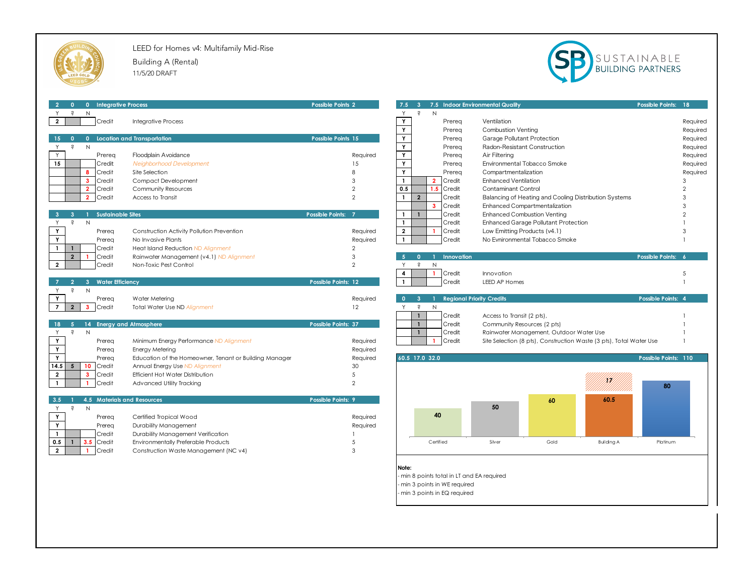

LEED for Homes v4: Multifamily Mid-Rise Building A (Rental) 11/5/20 DRAFT



| $\overline{2}$<br>0 Integrative Process<br>$\bullet$ 0     |                                                        | <b>Possible Points 2</b> |                         |                |                             |                                            | 7.5 3 7.5 Indoor Environmental Quality |                                         |                                                                     | Possible Points: 18  |          |
|------------------------------------------------------------|--------------------------------------------------------|--------------------------|-------------------------|----------------|-----------------------------|--------------------------------------------|----------------------------------------|-----------------------------------------|---------------------------------------------------------------------|----------------------|----------|
| ŝ<br>Y<br>N                                                |                                                        |                          | Y                       | $\mathcal{S}$  | N                           |                                            |                                        |                                         |                                                                     |                      |          |
| $\overline{2}$<br>Credit                                   | <b>Integrative Process</b>                             |                          | Y                       |                | Prereq                      |                                            | Ventilation                            |                                         |                                                                     |                      | Required |
|                                                            |                                                        |                          | Y                       |                | Prereq                      |                                            | <b>Combustion Venting</b>              |                                         |                                                                     |                      | Required |
| 15                                                         | 0 Location and Transportation                          | Possible Points 15       | Y                       |                | Prereq                      |                                            | Garage Pollutant Protection            |                                         |                                                                     |                      | Required |
| Ş<br>$\mathsf{N}$<br>Y                                     |                                                        |                          | $\overline{Y}$          |                | Prereq                      |                                            | Radon-Resistant Construction           |                                         |                                                                     |                      | Required |
| Y<br>Prereg                                                | Floodplain Avoidance                                   | Required                 | Y                       |                | Prereg                      |                                            | Air Filtering                          |                                         |                                                                     |                      | Required |
| 15<br>Credit                                               | Neighborhood Development                               | 15                       | Y                       |                | Prereq                      |                                            | Environmental Tobacco Smoke            |                                         |                                                                     |                      | Required |
| 8<br>Credit                                                | Site Selection                                         | $\mathcal{R}$            | Y                       |                | Prereg                      |                                            | Compartmentalization                   |                                         |                                                                     |                      | Required |
| $\mathbf{3}$<br>Credit                                     | Compact Development                                    | 3                        | $\mathbf{1}$            |                | $\overline{2}$<br>Credit    |                                            | <b>Enhanced Ventilation</b>            |                                         |                                                                     |                      | 3        |
| $\overline{2}$<br>Credit                                   | Community Resources                                    | $\overline{2}$           | 0.5                     |                | 1.5<br>Credit               |                                            | <b>Contaminant Control</b>             |                                         |                                                                     |                      |          |
| $\overline{2}$<br>Credit                                   | Access to Transit                                      | $\overline{2}$           | $\mathbf{1}$            | $\overline{2}$ | Credit                      |                                            |                                        |                                         | Balancing of Heating and Cooling Distribution Systems               |                      |          |
|                                                            |                                                        |                          |                         |                | $\mathbf{3}$<br>Credit      |                                            |                                        | Enhanced Compartmentalization           |                                                                     |                      |          |
| <b>Sustainable Sites</b>                                   |                                                        | Possible Points: 7       | $\mathbf{1}$            |                | Credit                      |                                            | <b>Enhanced Combustion Venting</b>     |                                         |                                                                     |                      |          |
| $\hat{s}$<br>N<br>Y                                        |                                                        |                          | $\mathbf{1}$            |                | Credit                      |                                            |                                        | Enhanced Garage Pollutant Protection    |                                                                     |                      |          |
| Y<br>Prereq                                                | Construction Activity Pollution Prevention             | Required                 | $\overline{2}$          |                | Credit                      |                                            | Low Emitting Products (v4.1)           |                                         |                                                                     |                      |          |
| Y<br>Prereg                                                | No Invasive Plants                                     | Required                 | $\mathbf{1}$            |                | Credit                      |                                            |                                        | No Evnironmental Tobacco Smoke          |                                                                     |                      |          |
| $\mathbf{1}$<br>$\mathbf{1}$<br>Credit                     | Heat Island Reduction ND Alignment                     | $\overline{2}$           |                         |                |                             |                                            |                                        |                                         |                                                                     |                      |          |
| $\overline{2}$<br>Credit<br>-1                             | Rainwater Management (v4.1) ND Alignment               | 3                        | -5.                     | $\mathbf{0}$   | $\mathbf{1}$                | Innovation                                 |                                        |                                         |                                                                     | Possible Points: 6   |          |
| $\mathbf{2}$<br>Credit                                     | Non-Toxic Pest Control                                 | $\mathcal{P}$            | Y                       | S              | $\mathsf{N}$                |                                            |                                        |                                         |                                                                     |                      |          |
|                                                            |                                                        |                          | $\overline{\mathbf{4}}$ |                | $\mathbf{1}$<br>Credit      |                                            | Innovation                             |                                         |                                                                     |                      | 5        |
| <b>Water Efficiency</b><br>$\mathbf{3}$                    |                                                        | Possible Points: 12      | $\mathbf{1}$            |                | Credit                      |                                            | LEED AP Homes                          |                                         |                                                                     |                      |          |
| $\zeta$<br>N<br>Y                                          |                                                        |                          |                         |                |                             |                                            |                                        |                                         |                                                                     |                      |          |
| Y<br>Prereq                                                | Water Metering                                         | Required                 | $\bullet$               | $\mathbf{3}$   |                             | <b>Regional Priority Credits</b>           |                                        |                                         |                                                                     | Possible Points: 4   |          |
| $\overline{7}$<br>$\mathbf{3}$<br>$\overline{2}$<br>Credit | Total Water Use ND Alignment                           | 12                       | Y                       | $\hat{s}$      | N                           |                                            |                                        |                                         |                                                                     |                      |          |
|                                                            |                                                        |                          |                         | $\mathbf{1}$   | Credit                      |                                            | Access to Transit (2 pts),             |                                         |                                                                     |                      |          |
| 5 <sup>2</sup><br>14 Energy and Atmosphere<br>18           |                                                        | Possible Points: 37      |                         | $\mathbf{1}$   | Credit                      |                                            | Community Resources (2 pts)            |                                         |                                                                     |                      |          |
| $\epsilon$<br>$\mathbb{N}$<br>Y                            |                                                        |                          |                         | $\mathbf{1}$   | Credit                      |                                            |                                        | Rainwater Management, Outdoor Water Use |                                                                     |                      |          |
| Y<br>Prereq                                                | Minimum Energy Performance ND Alignment                | Required                 |                         |                | Credit<br>$\mathbf{1}$      |                                            |                                        |                                         | Site Selection (8 pts), Construction Waste (3 pts), Total Water Use |                      |          |
| $\mathbf Y$<br>Prereg                                      | Energy Metering                                        | Required                 |                         |                |                             |                                            |                                        |                                         |                                                                     |                      |          |
| Y<br>Prereg                                                | Education of the Homeowner, Tenant or Building Manager | Required                 | 60.5 17.0 32.0          |                |                             |                                            |                                        |                                         |                                                                     | Possible Points: 110 |          |
| 14.5<br>10<br>5 <sub>1</sub><br>Credit                     | Annual Energy Use ND Alignment                         | 30                       |                         |                |                             |                                            |                                        |                                         |                                                                     |                      |          |
| $\overline{2}$<br>Credit<br>$\mathbf{3}$                   | Efficient Hot Water Distribution                       | 5                        |                         |                |                             |                                            |                                        |                                         |                                                                     |                      |          |
| $\mathbf{1}$<br>Credit                                     | Advanced Utility Tracking                              | $\overline{2}$           |                         |                |                             |                                            |                                        |                                         | HM)                                                                 | 80                   |          |
|                                                            |                                                        |                          |                         |                |                             |                                            |                                        |                                         |                                                                     |                      |          |
| 3.5<br><b>4.5 Materials and Resources</b>                  |                                                        | Possible Points: 9       |                         |                |                             |                                            |                                        | 60                                      | 60.5                                                                |                      |          |
| $\hat{\mathbf{S}}$<br>N<br>Y                               |                                                        |                          |                         |                |                             |                                            | 50                                     |                                         |                                                                     |                      |          |
| Y<br>Prereg                                                | Certified Tropical Wood                                | Required                 |                         |                | 40                          |                                            |                                        |                                         |                                                                     |                      |          |
| Y<br>Prereg                                                | Durability Management                                  | Required                 |                         |                |                             |                                            |                                        |                                         |                                                                     |                      |          |
| $\mathbf{1}$<br>Credit                                     | Durability Management Verification                     |                          |                         |                |                             |                                            |                                        |                                         |                                                                     |                      |          |
| 0.5<br>3.5<br>Credit<br>$\mathbf{1}$                       | Environmentally Preferable Products                    | .5                       |                         |                | Certified                   |                                            | Silver                                 | Gold                                    | <b>Building A</b>                                                   | Platinum             |          |
| $\overline{2}$<br>Credit                                   | Construction Waste Management (NC v4)                  | 3                        |                         |                |                             |                                            |                                        |                                         |                                                                     |                      |          |
|                                                            |                                                        |                          |                         |                |                             |                                            |                                        |                                         |                                                                     |                      |          |
|                                                            |                                                        |                          | Note:                   |                |                             |                                            |                                        |                                         |                                                                     |                      |          |
|                                                            |                                                        |                          |                         |                |                             | - min 8 points total in LT and EA required |                                        |                                         |                                                                     |                      |          |
|                                                            |                                                        |                          |                         |                | min 3 points in WE required |                                            |                                        |                                         |                                                                     |                      |          |

- min 3 points in EQ required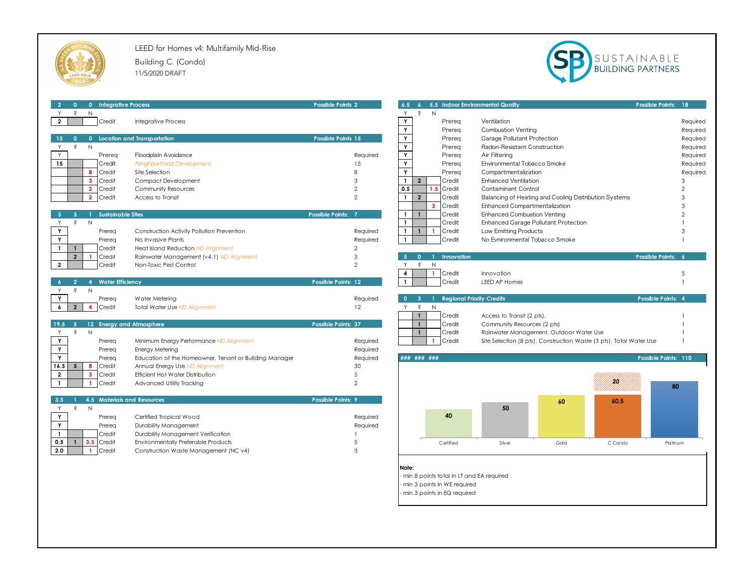

LEED for Homes v4: Multifamily Mid-Rise Building C. (Condo) 11/5/2020 DRAFT



| 0 Integrative Process<br>$\overline{2}$<br>$\mathbf{0}$     |                                                        | <b>Possible Points 2</b> |                                      | 6.5 6 5.5 Indoor Environmental Quality             |                                                                     |      |         | Possible Points: 18  |                |
|-------------------------------------------------------------|--------------------------------------------------------|--------------------------|--------------------------------------|----------------------------------------------------|---------------------------------------------------------------------|------|---------|----------------------|----------------|
| Ş<br>$\mathsf{N}$                                           |                                                        |                          | Y.                                   | $\dot{s}$<br>N                                     |                                                                     |      |         |                      |                |
| Credit<br>$\overline{\mathbf{2}}$                           | Integrative Process                                    |                          | Y                                    | Prereq                                             | Ventilation                                                         |      |         |                      | Required       |
|                                                             |                                                        |                          | Y                                    | Prereg                                             | <b>Combustion Venting</b>                                           |      |         |                      | Required       |
| $\mathbf{0}$<br>15<br>$\Omega$                              | <b>Location and Transportation</b>                     | Possible Points 15       | $\mathbf Y$                          | Prereg                                             | Garage Pollutant Protection                                         |      |         |                      | Required       |
| N<br>$\epsilon$<br>Y                                        |                                                        |                          | Y                                    | Prereg                                             | Radon-Resistant Construction                                        |      |         |                      | Required       |
| Y<br>Prereq                                                 | Floodplain Avoidance                                   | Required                 | Y                                    | Prereq                                             | Air Filtering                                                       |      |         |                      | Required       |
| 15<br>Credit                                                | Neighborhood Development                               | 15                       | Y                                    | Prereg                                             | Environmental Tobacco Smoke                                         |      |         |                      | Required       |
| Credit<br>R                                                 | Site Selection                                         | 8                        | Y                                    | Prereg                                             | Compartmentalization                                                |      |         |                      | Required       |
| $\overline{\mathbf{3}}$<br>Credit                           | Compact Development                                    | 3                        | $\overline{2}$<br>$\mathbf{1}$       | Credit                                             | <b>Enhanced Ventilation</b>                                         |      |         |                      | 3              |
| $\overline{2}$<br>Credit                                    | Community Resources                                    | $\overline{2}$           | 0.5                                  | Credit<br>$.5\,$                                   | Contaminant Control                                                 |      |         |                      | $\mathfrak{D}$ |
| Credit<br>$\overline{2}$                                    | Access to Transit                                      | $\overline{2}$           | $\overline{2}$<br>$\mathbf{1}$       | Credit                                             |                                                                     |      |         |                      | 3              |
|                                                             |                                                        |                          |                                      | Credit<br>$\mathbf{3}$                             | Balancing of Heating and Cooling Distribution Systems               |      |         |                      | 3              |
|                                                             |                                                        |                          |                                      |                                                    | Enhanced Compartmentalization                                       |      |         |                      | $\mathcal{D}$  |
| <b>Sustainable Sites</b><br>N<br>$\dot{s}$                  |                                                        | Possible Points: 7       | $\mathbf{1}$<br>$\mathbf{1}$         | Credit                                             | <b>Enhanced Combustion Venting</b>                                  |      |         |                      |                |
| Y                                                           |                                                        |                          | $\mathbf{1}$                         | Credit                                             | Enhanced Garage Pollutant Protection                                |      |         |                      |                |
| Y<br>Prereq                                                 | Construction Activity Pollution Prevention             | Required                 | $\mathbf{1}$<br>$\mathbf{1}$         | Credit                                             | Low Emitting Products                                               |      |         |                      | 3              |
| Y<br>Prereg                                                 | No Invasive Plants                                     | Required                 |                                      | Credit                                             | No Evnironmental Tobacco Smoke                                      |      |         |                      |                |
| $\mathbf{1}$<br>Credit<br>$\mathbf{1}$                      | Heat Island Reduction ND Alignment                     | $\overline{2}$           |                                      |                                                    |                                                                     |      |         |                      |                |
| $\overline{2}$<br>Credit                                    | Rainwater Management (v4.1) ND Alignment               | 3                        | $\overline{5}$<br>$\Omega$           | Innovation<br>$\overline{1}$                       |                                                                     |      |         | Possible Points: 6   |                |
| $\overline{2}$<br>Credit                                    | Non-Toxic Pest Control                                 | $\overline{2}$           | Y                                    | Ŝ<br>N                                             |                                                                     |      |         |                      |                |
|                                                             |                                                        |                          | $\overline{\mathbf{4}}$              | Credit                                             | Innovation                                                          |      |         |                      | 5              |
| $\overline{2}$<br><b>Water Efficiency</b><br>$\overline{4}$ |                                                        | Possible Points: 12      | $\mathbf{1}$                         | Credit                                             | LEED AP Homes                                                       |      |         |                      |                |
| Y<br>$\hat{\mathbf{S}}$<br>N                                |                                                        |                          |                                      |                                                    |                                                                     |      |         |                      |                |
| Y<br>Prereg                                                 | Water Metering                                         | Required                 | $\bullet$<br>$\overline{\mathbf{3}}$ | <b>Regional Priority Credits</b><br>$\blacksquare$ |                                                                     |      |         | Possible Points: 4   |                |
| $\epsilon$<br>$2^{\circ}$<br>4<br>Credit                    | Total Water Use ND Alignment                           | 12                       | $\dot{\mathsf{S}}$<br>Y.             | N                                                  |                                                                     |      |         |                      |                |
|                                                             |                                                        |                          | $\mathbf{1}$                         | Credit                                             | Access to Transit (2 pts),                                          |      |         |                      |                |
| -5<br>12 Energy and Atmosphere<br>19.5                      |                                                        | Possible Points: 37      | $\mathbf{1}$                         | Credit                                             | Community Resources (2 pts)                                         |      |         |                      |                |
| Ŝ<br>N<br>Y                                                 |                                                        |                          | $\mathbf{1}$                         | Credit                                             | Rainwater Management, Outdoor Water Use                             |      |         |                      |                |
| Y<br>Prereq                                                 | Minimum Energy Performance ND Alignment                | Required                 |                                      | Credit<br>-1                                       | Site Selection (8 pts), Construction Waste (3 pts), Total Water Use |      |         |                      |                |
| Y<br>Prereq                                                 | Energy Metering                                        | Required                 |                                      |                                                    |                                                                     |      |         |                      |                |
| Y<br>Prereq                                                 | Education of the Homeowner, Tenant or Building Manager | Required                 | ### ### ###                          |                                                    |                                                                     |      |         | Possible Points: 110 |                |
| 16.5<br>$5^{\circ}$<br>8<br>Credit                          | Annual Energy Use ND Alignment                         | 30                       |                                      |                                                    |                                                                     |      |         |                      |                |
| Credit<br>$\overline{2}$<br>$\mathbf{3}$                    | Efficient Hot Water Distribution                       | 5                        |                                      |                                                    |                                                                     |      |         |                      |                |
| $\mathbf{1}$<br>Credit<br>$\mathbf{1}$                      | Advanced Utility Tracking                              | $\overline{2}$           |                                      |                                                    |                                                                     |      | m       | 80                   |                |
|                                                             |                                                        |                          |                                      |                                                    |                                                                     |      |         |                      |                |
| 4.5 Materials and Resources<br>3.5                          |                                                        | Possible Points: 9       |                                      |                                                    |                                                                     | 60   | 60.5    |                      |                |
| $\mathcal{S}$<br>Y<br>N                                     |                                                        |                          |                                      |                                                    | 50                                                                  |      |         |                      |                |
| Y<br>Prereq                                                 | Certified Tropical Wood                                | Required                 |                                      | 40                                                 |                                                                     |      |         |                      |                |
| Y<br>Prereg                                                 | Durability Management                                  | Required                 |                                      |                                                    |                                                                     |      |         |                      |                |
| $\mathbf{1}$<br>Credit                                      | Durability Management Verification                     |                          |                                      |                                                    |                                                                     |      |         |                      |                |
| 0.5<br>Credit<br>$\mathbf{1}$<br>3.5                        | Environmentally Preferable Products                    | 5                        |                                      | Certified                                          | Silver                                                              | Gold | C Condo | Platinum             |                |
| 2.0<br>Credit                                               | Construction Waste Management (NC v4)                  | 3                        |                                      |                                                    |                                                                     |      |         |                      |                |
|                                                             |                                                        |                          |                                      |                                                    |                                                                     |      |         |                      |                |
|                                                             |                                                        |                          | Note:                                |                                                    |                                                                     |      |         |                      |                |
|                                                             |                                                        |                          |                                      | min 8 points total in LT and EA required           |                                                                     |      |         |                      |                |
|                                                             |                                                        |                          |                                      | min 3 points in WE required                        |                                                                     |      |         |                      |                |
|                                                             |                                                        |                          |                                      | min 3 points in EQ required                        |                                                                     |      |         |                      |                |
|                                                             |                                                        |                          |                                      |                                                    |                                                                     |      |         |                      |                |